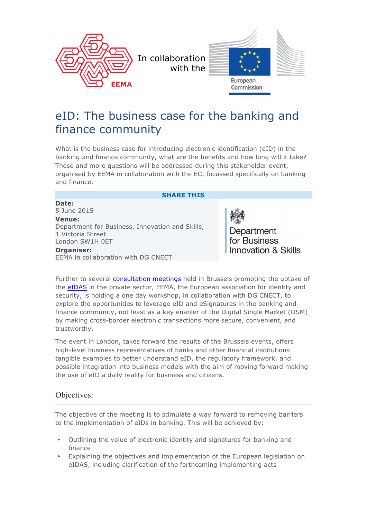

# eID: The business case for the banking and finance community

What is the business case for introducing electronic identification (eID) in the banking and finance community, what are the benefits and how long will it take? These and more questions will be addressed during this stakeholder event, organised by EEMA in collaboration with the EC, focussed specifically on banking and finance.

#### **SHARE THIS**

**Date:** 5 June 2015 **Venue:** Department for Business, Innovation and Skills, 1 Victoria Street London SW1H 0ET **Organiser:** EEMA in collaboration with DG CNECT

Department for Business **Innovation & Skills** 

Further to several consultation meetings held in Brussels promoting the uptake of the eIDAS in the private sector, EEMA, the European association for identity and security, is holding a one day workshop, in collaboration with DG CNECT, to explore the opportunities to leverage eID and eSignatures in the banking and finance community, not least as a key enabler of the Digital Single Market (DSM) by making cross-border electronic transactions more secure, convenient, and trustworthy.

The event in London, takes forward the results of the Brussels events, offers high-level business representatives of banks and other financial institutions tangible examples to better understand eID, the regulatory framework, and possible integration into business models with the aim of moving forward making the use of eID a daily reality for business and citizens.

### Objectives:

The objective of the meeting is to stimulate a way forward to removing barriers to the implementation of eIDs in banking. This will be achieved by:

- Outlining the value of electronic identity and signatures for banking and finance
- Explaining the objectives and implementation of the European legislation on eIDAS, including clarification of the forthcoming implementing acts